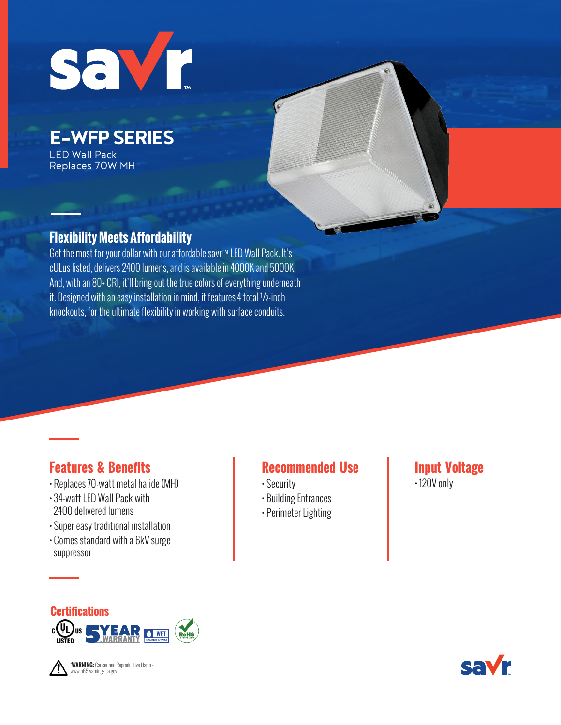

LED Wall Pack Replaces 70W MH

### **Flexibility Meets Affordability**

Get the most for your dollar with our affordable savr™ LED Wall Pack. It's cULus listed, delivers 2400 lumens, and is available in 4000K and 5000K. And, with an 80+ CRI, it'll bring out the true colors of everything underneath it. Designed with an easy installation in mind, it features 4 total ½-inch knockouts, for the ultimate flexibility in working with surface conduits.

## **Features & Benefits**

- Replaces 70-watt metal halide (MH)
- 34-watt LED Wall Pack with 2400 delivered lumens
- Super easy traditional installation
- Comes standard with a 6kV surge suppressor

## **Recommended Use**

- Security
- Building Entrances
- Perimeter Lighting

#### **Input Voltage** • 120V only





"**WARNING:** Cancer and Reproductive Harm www.p65warnings.ca.gov

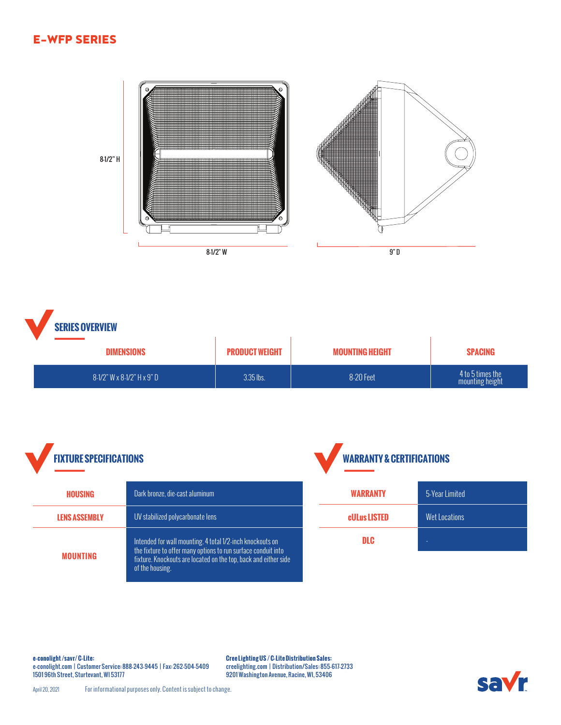**Company of the Company of the Company of the Company of the Company of the Company of the Company of the Company** a shine a shekara ta 1999<br>Bandalo a shekara ta 1999<br>Bandalo a shekara ta 1999<br>Bandalo a shekara ta 1999<br>Bandalo a shekara ta 1999 8-1/2" H8-1/2" W 9" D

**SERIES OVERVIEW**

| <b>DIMENSIONS</b>                   | <b>PRODUCT WEIGHT</b> | <b>MOUNTING HEIGHT</b> | <b>SPACING</b>                      |
|-------------------------------------|-----------------------|------------------------|-------------------------------------|
| $8-1/2$ " W x $8-1/2$ " H x $9$ " D | 3.35 lbs.             | 8-20 Feet              | 4 to 5 times the<br>mounting height |





**e-conolight /savr/ C-Lite:**  e-conolight.com | Customer Service: 888-243-9445 | Fax: 262-504-5409 1501 96th Street, Sturtevant, WI 53177

**Cree Lighting US / C-Lite Distribution Sales:**  creelighting.com | Distribution/Sales: 855-617-2733 9201 Washington Avenue, Racine, WI, 53406



April 20, 2021 For informational purposes only. Content is subject to change.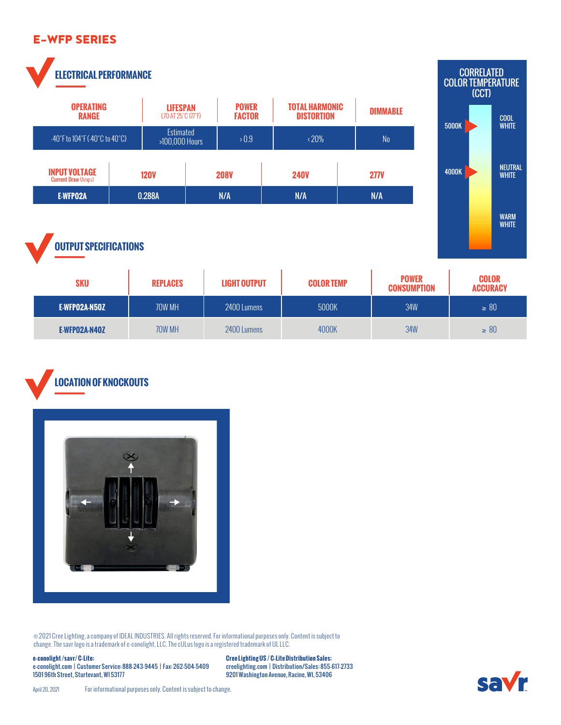**ELECTRICAL PERFORMANCE**





## **OUTPUT SPECIFICATIONS**

| <b>SKU</b>    | <b>REPLACES</b> | <b>LIGHT OUTPUT</b> | <b>COLOR TEMP</b> | <b>POWER</b><br><b>CONSUMPTION</b> | <b>COLOR</b><br><b>ACCURACY</b> |
|---------------|-----------------|---------------------|-------------------|------------------------------------|---------------------------------|
| E-WFPO2A-N5OZ | 70W MH          | 2400 Lumens         | 5000K             | <b>34W</b>                         | $\geq 80$                       |
| E-WFP02A-N40Z | 70W MH          | 2400 Lumens         | 4000K             | <b>34W</b>                         | $\geq 80$                       |

# **LOCATION OF KNOCKOUTS**



® 2021 Cree Lighting, a company of IDEAL INDUSTRIES. All rights reserved. For informational purposes only. Content is subject to change. The savr logo is a trademark of e-conolight, LLC. The cULus logo is a registered trademark of UL LLC.

**e-conolight /savr/ C-Lite:**  e-conolight.com | Customer Service: 888-243-9445 | Fax: 262-504-5409 1501 96th Street, Sturtevant, WI 53177

**Cree Lighting US / C-Lite Distribution Sales:**  creelighting.com | Distribution/Sales: 855-617-2733 9201 Washington Avenue, Racine, WI, 53406